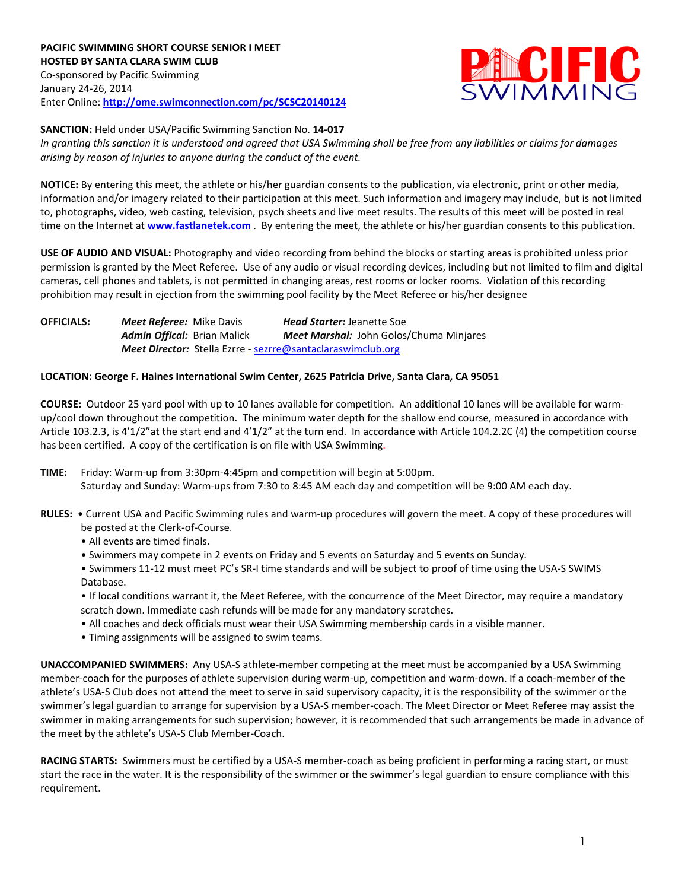

## **SANCTION:** Held under USA/Pacific Swimming Sanction No. **14-017**

*In granting this sanction it is understood and agreed that USA Swimming shall be free from any liabilities or claims for damages arising by reason of injuries to anyone during the conduct of the event.*

**NOTICE:** By entering this meet, the athlete or his/her guardian consents to the publication, via electronic, print or other media, information and/or imagery related to their participation at this meet. Such information and imagery may include, but is not limited to, photographs, video, web casting, television, psych sheets and live meet results. The results of this meet will be posted in real time on the Internet at **[www.fastlanetek.com](http://www.fastlanetek.com/)** . By entering the meet, the athlete or his/her guardian consents to this publication.

**USE OF AUDIO AND VISUAL:** Photography and video recording from behind the blocks or starting areas is prohibited unless prior permission is granted by the Meet Referee. Use of any audio or visual recording devices, including but not limited to film and digital cameras, cell phones and tablets, is not permitted in changing areas, rest rooms or locker rooms. Violation of this recording prohibition may result in ejection from the swimming pool facility by the Meet Referee or his/her designee

**OFFICIALS:** *Meet Referee:* Mike Davis *Head Starter:* Jeanette Soe *Admin Offical:* Brian Malick *Meet Marshal:* John Golos/Chuma Minjares *Meet Director:* Stella Ezrre - [sezrre@santaclaraswimclub.org](mailto:sezrre@santaclaraswimclub.org)

## **LOCATION: George F. Haines International Swim Center, 2625 Patricia Drive, Santa Clara, CA 95051**

**COURSE:** Outdoor 25 yard pool with up to 10 lanes available for competition. An additional 10 lanes will be available for warmup/cool down throughout the competition. The minimum water depth for the shallow end course, measured in accordance with Article 103.2.3, is 4'1/2"at the start end and 4'1/2" at the turn end. In accordance with Article 104.2.2C (4) the competition course has been certified. A copy of the certification is on file with USA Swimming.

- **TIME:** Friday: Warm-up from 3:30pm-4:45pm and competition will begin at 5:00pm. Saturday and Sunday: Warm-ups from 7:30 to 8:45 AM each day and competition will be 9:00 AM each day.
- **RULES:** Current USA and Pacific Swimming rules and warm-up procedures will govern the meet. A copy of these procedures will be posted at the Clerk-of-Course.
	- All events are timed finals.
	- Swimmers may compete in 2 events on Friday and 5 events on Saturday and 5 events on Sunday.
	- Swimmers 11-12 must meet PC's SR-I time standards and will be subject to proof of time using the USA-S SWIMS Database.
	- If local conditions warrant it, the Meet Referee, with the concurrence of the Meet Director, may require a mandatory scratch down. Immediate cash refunds will be made for any mandatory scratches.
	- All coaches and deck officials must wear their USA Swimming membership cards in a visible manner.
	- Timing assignments will be assigned to swim teams.

**UNACCOMPANIED SWIMMERS:** Any USA-S athlete-member competing at the meet must be accompanied by a USA Swimming member-coach for the purposes of athlete supervision during warm-up, competition and warm-down. If a coach-member of the athlete's USA-S Club does not attend the meet to serve in said supervisory capacity, it is the responsibility of the swimmer or the swimmer's legal guardian to arrange for supervision by a USA-S member-coach. The Meet Director or Meet Referee may assist the swimmer in making arrangements for such supervision; however, it is recommended that such arrangements be made in advance of the meet by the athlete's USA-S Club Member-Coach.

**RACING STARTS:** Swimmers must be certified by a USA-S member-coach as being proficient in performing a racing start, or must start the race in the water. It is the responsibility of the swimmer or the swimmer's legal guardian to ensure compliance with this requirement.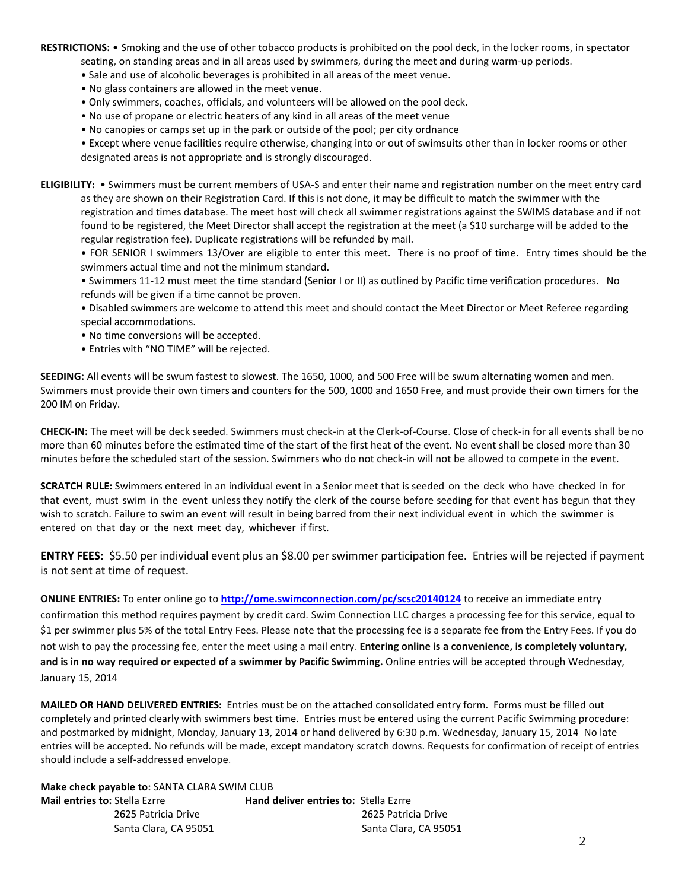**RESTRICTIONS:** • Smoking and the use of other tobacco products is prohibited on the pool deck, in the locker rooms, in spectator seating, on standing areas and in all areas used by swimmers, during the meet and during warm-up periods.

- Sale and use of alcoholic beverages is prohibited in all areas of the meet venue.
- No glass containers are allowed in the meet venue.
- Only swimmers, coaches, officials, and volunteers will be allowed on the pool deck.
- No use of propane or electric heaters of any kind in all areas of the meet venue
- No canopies or camps set up in the park or outside of the pool; per city ordnance

• Except where venue facilities require otherwise, changing into or out of swimsuits other than in locker rooms or other designated areas is not appropriate and is strongly discouraged.

**ELIGIBILITY:** • Swimmers must be current members of USA-S and enter their name and registration number on the meet entry card as they are shown on their Registration Card. If this is not done, it may be difficult to match the swimmer with the registration and times database. The meet host will check all swimmer registrations against the SWIMS database and if not found to be registered, the Meet Director shall accept the registration at the meet (a \$10 surcharge will be added to the regular registration fee). Duplicate registrations will be refunded by mail.

• FOR SENIOR I swimmers 13/Over are eligible to enter this meet. There is no proof of time. Entry times should be the swimmers actual time and not the minimum standard.

• Swimmers 11-12 must meet the time standard (Senior I or II) as outlined by Pacific time verification procedures. No refunds will be given if a time cannot be proven.

• Disabled swimmers are welcome to attend this meet and should contact the Meet Director or Meet Referee regarding special accommodations.

- No time conversions will be accepted.
- Entries with "NO TIME" will be rejected.

**SEEDING:** All events will be swum fastest to slowest. The 1650, 1000, and 500 Free will be swum alternating women and men. Swimmers must provide their own timers and counters for the 500, 1000 and 1650 Free, and must provide their own timers for the 200 IM on Friday.

**CHECK-IN:** The meet will be deck seeded. Swimmers must check-in at the Clerk-of-Course. Close of check-in for all events shall be no more than 60 minutes before the estimated time of the start of the first heat of the event. No event shall be closed more than 30 minutes before the scheduled start of the session. Swimmers who do not check-in will not be allowed to compete in the event.

**SCRATCH RULE:** Swimmers entered in an individual event in a Senior meet that is seeded on the deck who have checked in for that event, must swim in the event unless they notify the clerk of the course before seeding for that event has begun that they wish to scratch. Failure to swim an event will result in being barred from their next individual event in which the swimmer is entered on that day or the next meet day, whichever if first.

**ENTRY FEES:** \$5.50 per individual event plus an \$8.00 per swimmer participation fee. Entries will be rejected if payment is not sent at time of request.

**ONLINE ENTRIES:** To enter online go to **<http://ome.swimconnection.com/pc/scsc20140124>** to receive an immediate entry confirmation this method requires payment by credit card. Swim Connection LLC charges a processing fee for this service, equal to \$1 per swimmer plus 5% of the total Entry Fees. Please note that the processing fee is a separate fee from the Entry Fees. If you do not wish to pay the processing fee, enter the meet using a mail entry. **Entering online is a convenience, is completely voluntary, and is in no way required or expected of a swimmer by Pacific Swimming.** Online entries will be accepted through Wednesday, January 15, 2014

**MAILED OR HAND DELIVERED ENTRIES:** Entries must be on the attached consolidated entry form. Forms must be filled out completely and printed clearly with swimmers best time. Entries must be entered using the current Pacific Swimming procedure: and postmarked by midnight, Monday, January 13, 2014 or hand delivered by 6:30 p.m. Wednesday, January 15, 2014 No late entries will be accepted. No refunds will be made, except mandatory scratch downs. Requests for confirmation of receipt of entries should include a self-addressed envelope.

**Make check payable to:** SANTA CLARA SWIM CLUB

| <b>Mail entries to: Stella Ezrre</b> | н |  |  |  |  |  |  |  |
|--------------------------------------|---|--|--|--|--|--|--|--|
| 2625 Patricia Drive                  |   |  |  |  |  |  |  |  |
| Santa Clara, CA 95051                |   |  |  |  |  |  |  |  |

**Mand deliver entries to: Stella Ezrre** 2625 Patricia Drive 2625 Patricia Drive Santa Clara, CA 95051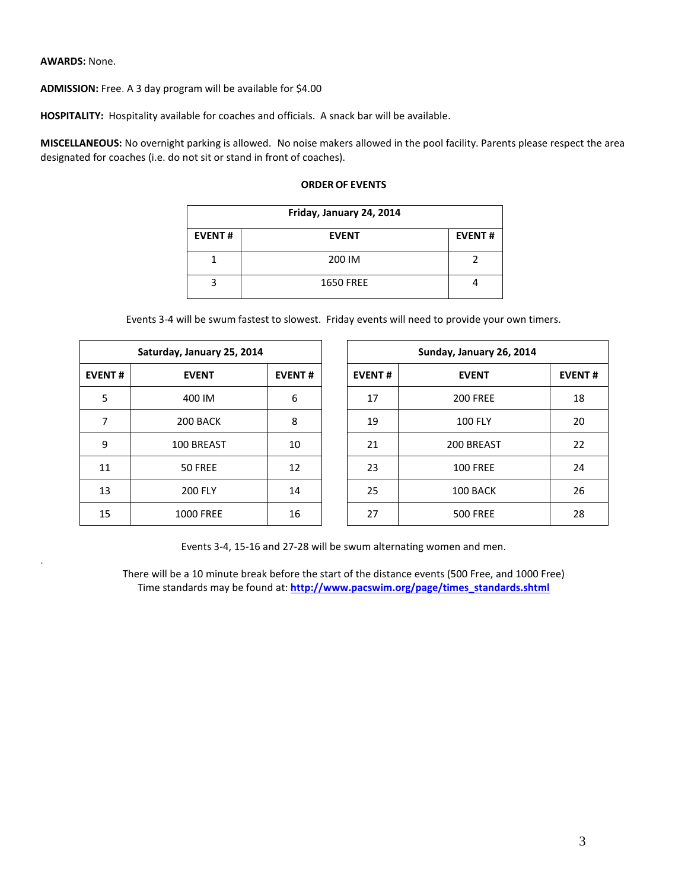## **AWARDS:** None.

.

**ADMISSION:** Free. A 3 day program will be available for \$4.00

**HOSPITALITY:** Hospitality available for coaches and officials. A snack bar will be available.

**MISCELLANEOUS:** No overnight parking is allowed. No noise makers allowed in the pool facility. Parents please respect the area designated for coaches (i.e. do not sit or stand in front of coaches).

| Friday, January 24, 2014 |                  |               |  |  |  |  |  |
|--------------------------|------------------|---------------|--|--|--|--|--|
| <b>EVENT#</b>            | <b>EVENT</b>     | <b>EVENT#</b> |  |  |  |  |  |
|                          | 200 IM           |               |  |  |  |  |  |
|                          | <b>1650 FREE</b> |               |  |  |  |  |  |

## **ORDER OF EVENTS**

Events 3-4 will be swum fastest to slowest. Friday events will need to provide your own timers.

|               | Saturday, January 25, 2014 |               |  |               | Sunday, January 26, 2014 |  |
|---------------|----------------------------|---------------|--|---------------|--------------------------|--|
| <b>EVENT#</b> | <b>EVENT</b>               | <b>EVENT#</b> |  | <b>EVENT#</b> | <b>EVENT</b>             |  |
| 5             | 400 IM                     | 6             |  | 17            | <b>200 FREE</b>          |  |
| 7             | 200 BACK                   | 8             |  | 19            | <b>100 FLY</b>           |  |
| 9             | 100 BREAST                 | 10            |  | 21            | 200 BREAST               |  |
| 11            | 50 FREE                    | 12            |  | 23            | <b>100 FREE</b>          |  |
| 13            | <b>200 FLY</b>             | 14            |  | 25            | 100 BACK                 |  |
| 15            | <b>1000 FREE</b>           | 16            |  | 27            | <b>500 FREE</b>          |  |

Events 3-4, 15-16 and 27-28 will be swum alternating women and men.

There will be a 10 minute break before the start of the distance events (500 Free, and 1000 Free) Time standards may be found at: **[http://www.pacswim.org/page/times\\_standards.shtml](http://www.pacswim.org/page/times_standards.shtml)**